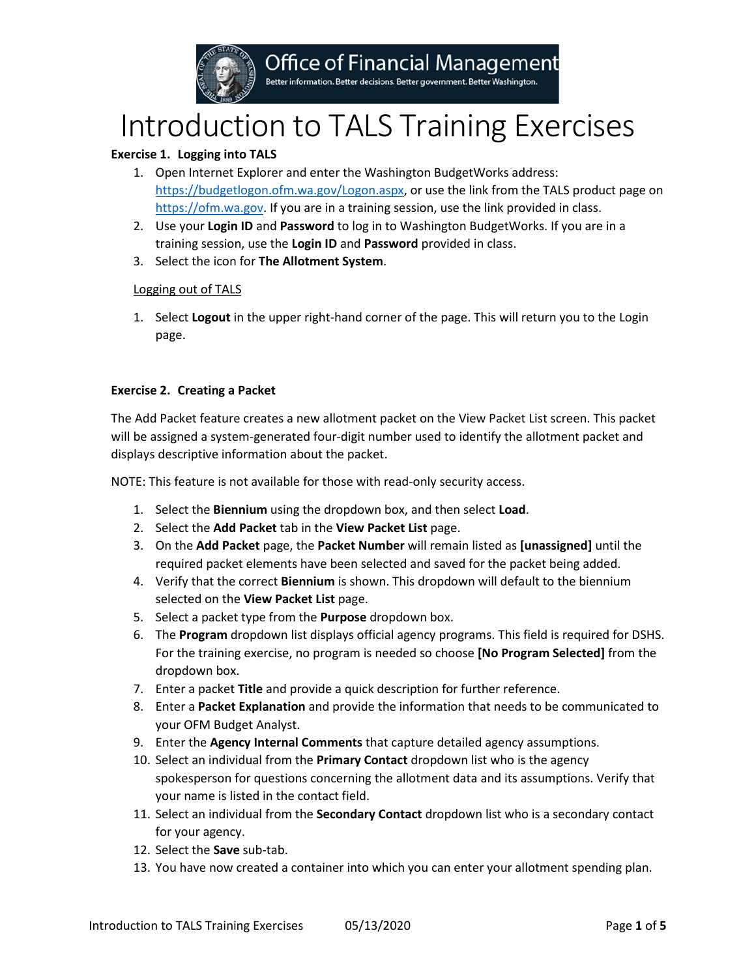

# Introduction to TALS Training Exercises

# **Exercise 1. Logging into TALS**

- 1. Open Internet Explorer and enter the Washington BudgetWorks address: [https://budgetlogon.ofm.wa.gov/Logon.aspx,](https://budgetlogon.ofm.wa.gov/Logon.aspx) or use the link from the TALS product page on [https://ofm.wa.gov.](https://ofm.wa.gov/) If you are in a training session, use the link provided in class.
- 2. Use your **Login ID** and **Password** to log in to Washington BudgetWorks. If you are in a training session, use the **Login ID** and **Password** provided in class.
- 3. Select the icon for **The Allotment System**.

## Logging out of TALS

1. Select **Logout** in the upper right-hand corner of the page. This will return you to the Login page.

## **Exercise 2. Creating a Packet**

The Add Packet feature creates a new allotment packet on the View Packet List screen. This packet will be assigned a system-generated four-digit number used to identify the allotment packet and displays descriptive information about the packet.

NOTE: This feature is not available for those with read-only security access.

- 1. Select the **Biennium** using the dropdown box, and then select **Load**.
- 2. Select the **Add Packet** tab in the **View Packet List** page.
- 3. On the **Add Packet** page, the **Packet Number** will remain listed as **[unassigned]** until the required packet elements have been selected and saved for the packet being added.
- 4. Verify that the correct **Biennium** is shown. This dropdown will default to the biennium selected on the **View Packet List** page.
- 5. Select a packet type from the **Purpose** dropdown box.
- 6. The **Program** dropdown list displays official agency programs. This field is required for DSHS. For the training exercise, no program is needed so choose **[No Program Selected]** from the dropdown box.
- 7. Enter a packet **Title** and provide a quick description for further reference.
- 8. Enter a **Packet Explanation** and provide the information that needs to be communicated to your OFM Budget Analyst.
- 9. Enter the **Agency Internal Comments** that capture detailed agency assumptions.
- 10. Select an individual from the **Primary Contact** dropdown list who is the agency spokesperson for questions concerning the allotment data and its assumptions. Verify that your name is listed in the contact field.
- 11. Select an individual from the **Secondary Contact** dropdown list who is a secondary contact for your agency.
- 12. Select the **Save** sub-tab.
- 13. You have now created a container into which you can enter your allotment spending plan.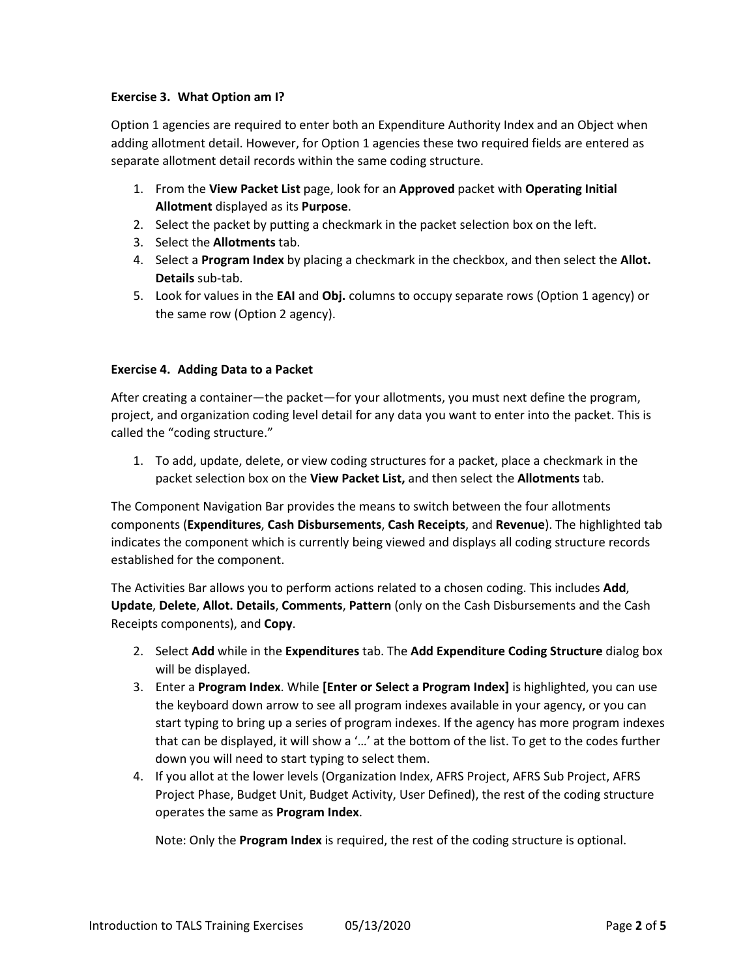## **Exercise 3. What Option am I?**

Option 1 agencies are required to enter both an Expenditure Authority Index and an Object when adding allotment detail. However, for Option 1 agencies these two required fields are entered as separate allotment detail records within the same coding structure.

- 1. From the **View Packet List** page, look for an **Approved** packet with **Operating Initial Allotment** displayed as its **Purpose**.
- 2. Select the packet by putting a checkmark in the packet selection box on the left.
- 3. Select the **Allotments** tab.
- 4. Select a **Program Index** by placing a checkmark in the checkbox, and then select the **Allot. Details** sub-tab.
- 5. Look for values in the **EAI** and **Obj.** columns to occupy separate rows (Option 1 agency) or the same row (Option 2 agency).

#### **Exercise 4. Adding Data to a Packet**

After creating a container—the packet—for your allotments, you must next define the program, project, and organization coding level detail for any data you want to enter into the packet. This is called the "coding structure."

1. To add, update, delete, or view coding structures for a packet, place a checkmark in the packet selection box on the **View Packet List,** and then select the **Allotments** tab.

The Component Navigation Bar provides the means to switch between the four allotments components (**Expenditures**, **Cash Disbursements**, **Cash Receipts**, and **Revenue**). The highlighted tab indicates the component which is currently being viewed and displays all coding structure records established for the component.

The Activities Bar allows you to perform actions related to a chosen coding. This includes **Add**, **Update**, **Delete**, **Allot. Details**, **Comments**, **Pattern** (only on the Cash Disbursements and the Cash Receipts components), and **Copy**.

- 2. Select **Add** while in the **Expenditures** tab. The **Add Expenditure Coding Structure** dialog box will be displayed.
- 3. Enter a **Program Index**. While **[Enter or Select a Program Index]** is highlighted, you can use the keyboard down arrow to see all program indexes available in your agency, or you can start typing to bring up a series of program indexes. If the agency has more program indexes that can be displayed, it will show a '…' at the bottom of the list. To get to the codes further down you will need to start typing to select them.
- 4. If you allot at the lower levels (Organization Index, AFRS Project, AFRS Sub Project, AFRS Project Phase, Budget Unit, Budget Activity, User Defined), the rest of the coding structure operates the same as **Program Index**.

Note: Only the **Program Index** is required, the rest of the coding structure is optional.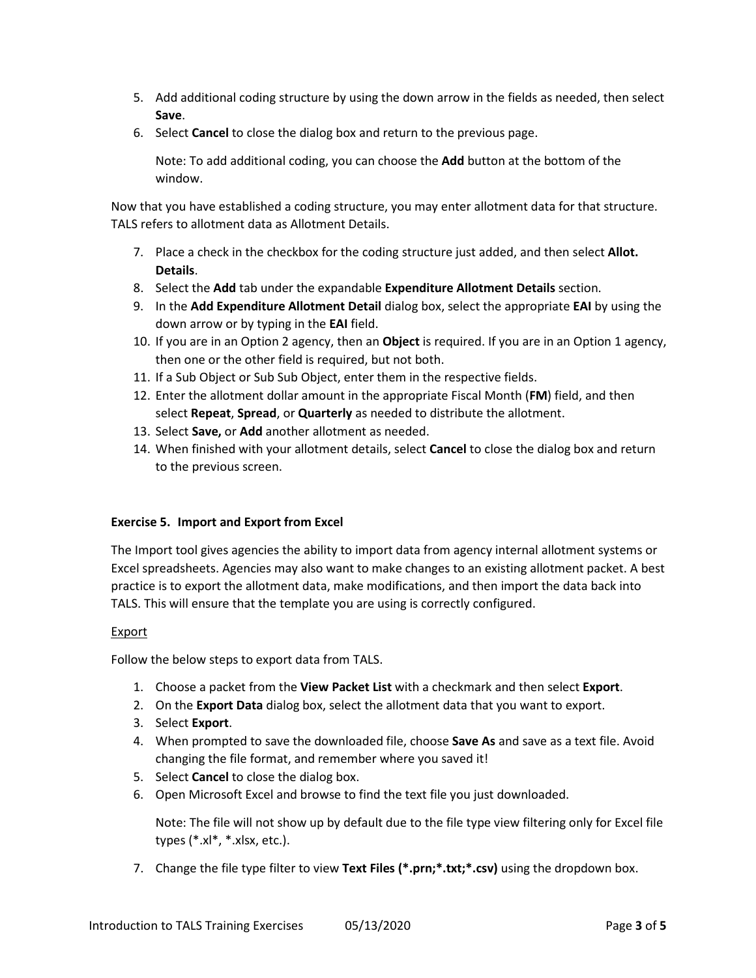- 5. Add additional coding structure by using the down arrow in the fields as needed, then select **Save**.
- 6. Select **Cancel** to close the dialog box and return to the previous page.

Note: To add additional coding, you can choose the **Add** button at the bottom of the window.

Now that you have established a coding structure, you may enter allotment data for that structure. TALS refers to allotment data as Allotment Details.

- 7. Place a check in the checkbox for the coding structure just added, and then select **Allot. Details**.
- 8. Select the **Add** tab under the expandable **Expenditure Allotment Details** section.
- 9. In the **Add Expenditure Allotment Detail** dialog box, select the appropriate **EAI** by using the down arrow or by typing in the **EAI** field.
- 10. If you are in an Option 2 agency, then an **Object** is required. If you are in an Option 1 agency, then one or the other field is required, but not both.
- 11. If a Sub Object or Sub Sub Object, enter them in the respective fields.
- 12. Enter the allotment dollar amount in the appropriate Fiscal Month (**FM**) field, and then select **Repeat**, **Spread**, or **Quarterly** as needed to distribute the allotment.
- 13. Select **Save,** or **Add** another allotment as needed.
- 14. When finished with your allotment details, select **Cancel** to close the dialog box and return to the previous screen.

## **Exercise 5. Import and Export from Excel**

The Import tool gives agencies the ability to import data from agency internal allotment systems or Excel spreadsheets. Agencies may also want to make changes to an existing allotment packet. A best practice is to export the allotment data, make modifications, and then import the data back into TALS. This will ensure that the template you are using is correctly configured.

## Export

Follow the below steps to export data from TALS.

- 1. Choose a packet from the **View Packet List** with a checkmark and then select **Export**.
- 2. On the **Export Data** dialog box, select the allotment data that you want to export.
- 3. Select **Export**.
- 4. When prompted to save the downloaded file, choose **Save As** and save as a text file. Avoid changing the file format, and remember where you saved it!
- 5. Select **Cancel** to close the dialog box.
- 6. Open Microsoft Excel and browse to find the text file you just downloaded.

Note: The file will not show up by default due to the file type view filtering only for Excel file types (\*.xl\*, \*.xlsx, etc.).

7. Change the file type filter to view **Text Files (\*.prn;\*.txt;\*.csv)** using the dropdown box.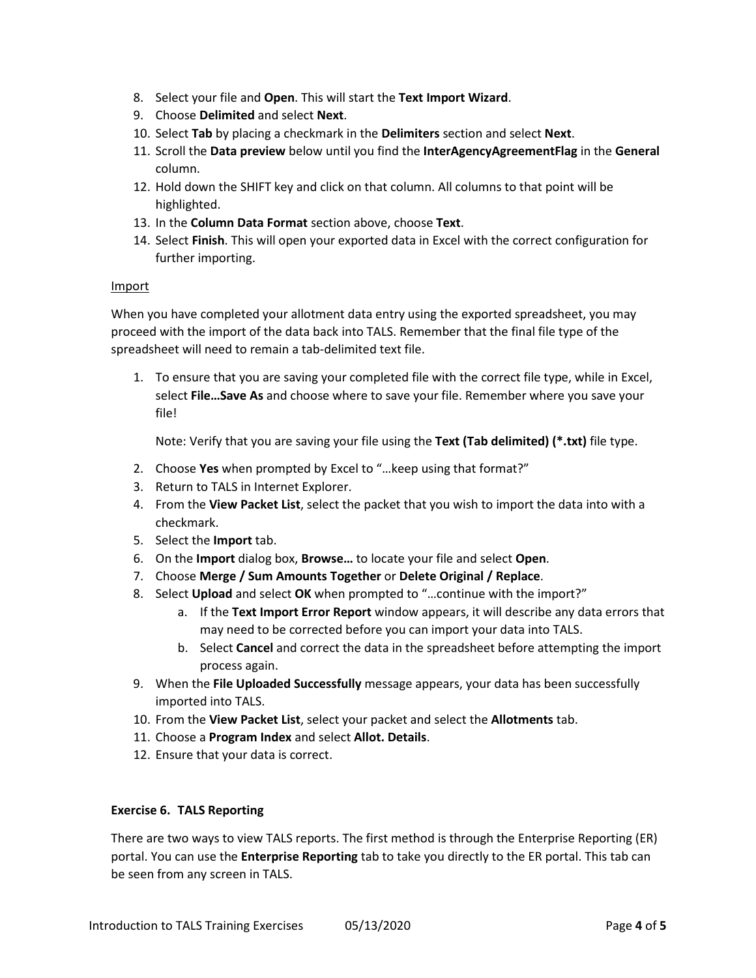- 8. Select your file and **Open**. This will start the **Text Import Wizard**.
- 9. Choose **Delimited** and select **Next**.
- 10. Select **Tab** by placing a checkmark in the **Delimiters** section and select **Next**.
- 11. Scroll the **Data preview** below until you find the **InterAgencyAgreementFlag** in the **General** column.
- 12. Hold down the SHIFT key and click on that column. All columns to that point will be highlighted.
- 13. In the **Column Data Format** section above, choose **Text**.
- 14. Select **Finish**. This will open your exported data in Excel with the correct configuration for further importing.

## Import

When you have completed your allotment data entry using the exported spreadsheet, you may proceed with the import of the data back into TALS. Remember that the final file type of the spreadsheet will need to remain a tab-delimited text file.

1. To ensure that you are saving your completed file with the correct file type, while in Excel, select **File…Save As** and choose where to save your file. Remember where you save your file!

Note: Verify that you are saving your file using the **Text (Tab delimited) (\*.txt)** file type.

- 2. Choose **Yes** when prompted by Excel to "…keep using that format?"
- 3. Return to TALS in Internet Explorer.
- 4. From the **View Packet List**, select the packet that you wish to import the data into with a checkmark.
- 5. Select the **Import** tab.
- 6. On the **Import** dialog box, **Browse…** to locate your file and select **Open**.
- 7. Choose **Merge / Sum Amounts Together** or **Delete Original / Replace**.
- 8. Select **Upload** and select **OK** when prompted to "…continue with the import?"
	- a. If the **Text Import Error Report** window appears, it will describe any data errors that may need to be corrected before you can import your data into TALS.
	- b. Select **Cancel** and correct the data in the spreadsheet before attempting the import process again.
- 9. When the **File Uploaded Successfully** message appears, your data has been successfully imported into TALS.
- 10. From the **View Packet List**, select your packet and select the **Allotments** tab.
- 11. Choose a **Program Index** and select **Allot. Details**.
- 12. Ensure that your data is correct.

## **Exercise 6. TALS Reporting**

There are two ways to view TALS reports. The first method is through the Enterprise Reporting (ER) portal. You can use the **Enterprise Reporting** tab to take you directly to the ER portal. This tab can be seen from any screen in TALS.